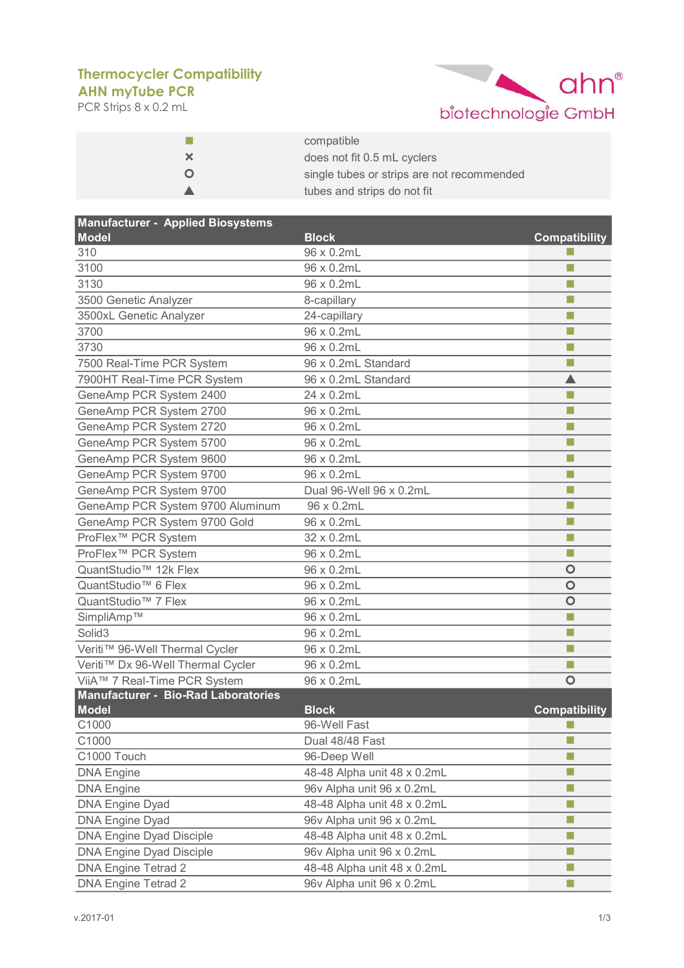## **AHN myTube PCR Thermocycler Compatibility**

PCR Strips 8 x 0.2 mL



|   | compatible                                 |
|---|--------------------------------------------|
| × | does not fit 0.5 mL cyclers                |
| O | single tubes or strips are not recommended |
|   | tubes and strips do not fit                |

| <b>Manufacturer - Applied Biosystems</b>   |                             |                      |
|--------------------------------------------|-----------------------------|----------------------|
| <b>Model</b>                               | <b>Block</b>                | <b>Compatibility</b> |
| 310                                        | 96 x 0.2mL                  |                      |
| 3100                                       | 96 x 0.2mL                  | П                    |
| 3130                                       | 96 x 0.2mL                  | П                    |
| 3500 Genetic Analyzer                      | 8-capillary                 | П                    |
| 3500xL Genetic Analyzer                    | 24-capillary                | п                    |
| 3700                                       | 96 x 0.2mL                  | П                    |
| 3730                                       | 96 x 0.2mL                  | П                    |
| 7500 Real-Time PCR System                  | 96 x 0.2mL Standard         | ш                    |
| 7900HT Real-Time PCR System                | 96 x 0.2mL Standard         | ▲                    |
| GeneAmp PCR System 2400                    | 24 x 0.2mL                  | m.                   |
| GeneAmp PCR System 2700                    | 96 x 0.2mL                  | п                    |
| GeneAmp PCR System 2720                    | 96 x 0.2mL                  | п                    |
| GeneAmp PCR System 5700                    | 96 x 0.2mL                  | П                    |
| GeneAmp PCR System 9600                    | 96 x 0.2mL                  | п                    |
| GeneAmp PCR System 9700                    | 96 x 0.2mL                  | ш                    |
| GeneAmp PCR System 9700                    | Dual 96-Well 96 x 0.2mL     | п                    |
| GeneAmp PCR System 9700 Aluminum           | 96 x 0.2mL                  | п                    |
| GeneAmp PCR System 9700 Gold               | 96 x 0.2mL                  | П                    |
| ProFlex <sup>™</sup> PCR System            | 32 x 0.2mL                  | п                    |
| ProFlex <sup>™</sup> PCR System            | 96 x 0.2mL                  | П                    |
| QuantStudio <sup>™</sup> 12k Flex          | 96 x 0.2mL                  | O                    |
| QuantStudio <sup>™</sup> 6 Flex            | 96 x 0.2mL                  | $\circ$              |
| QuantStudio <sup>™</sup> 7 Flex            | 96 x 0.2mL                  | $\bullet$            |
| SimpliAmp™                                 | 96 x 0.2mL                  | п                    |
| Solid <sub>3</sub>                         | 96 x 0.2mL                  | ш                    |
| Veriti™ 96-Well Thermal Cycler             | 96 x 0.2mL                  | П                    |
| Veriti™ Dx 96-Well Thermal Cycler          | 96 x 0.2mL                  | П                    |
| ViiA™ 7 Real-Time PCR System               | 96 x 0.2mL                  | $\bullet$            |
| <b>Manufacturer - Bio-Rad Laboratories</b> |                             |                      |
| <b>Model</b>                               | <b>Block</b>                | <b>Compatibility</b> |
| C1000                                      | 96-Well Fast                | ш                    |
| C1000                                      | Dual 48/48 Fast             | п                    |
| C1000 Touch                                | 96-Deep Well                |                      |
| <b>DNA Engine</b>                          | 48-48 Alpha unit 48 x 0.2mL | п                    |
| <b>DNA Engine</b>                          | 96v Alpha unit 96 x 0.2mL   | п                    |
| <b>DNA Engine Dyad</b>                     | 48-48 Alpha unit 48 x 0.2mL | L.                   |
| <b>DNA Engine Dyad</b>                     | 96v Alpha unit 96 x 0.2mL   | ш                    |
| <b>DNA Engine Dyad Disciple</b>            | 48-48 Alpha unit 48 x 0.2mL | П                    |
| <b>DNA Engine Dyad Disciple</b>            | 96v Alpha unit 96 x 0.2mL   | П                    |
| <b>DNA Engine Tetrad 2</b>                 | 48-48 Alpha unit 48 x 0.2mL |                      |
| <b>DNA Engine Tetrad 2</b>                 | 96v Alpha unit 96 x 0.2mL   | $\Box$               |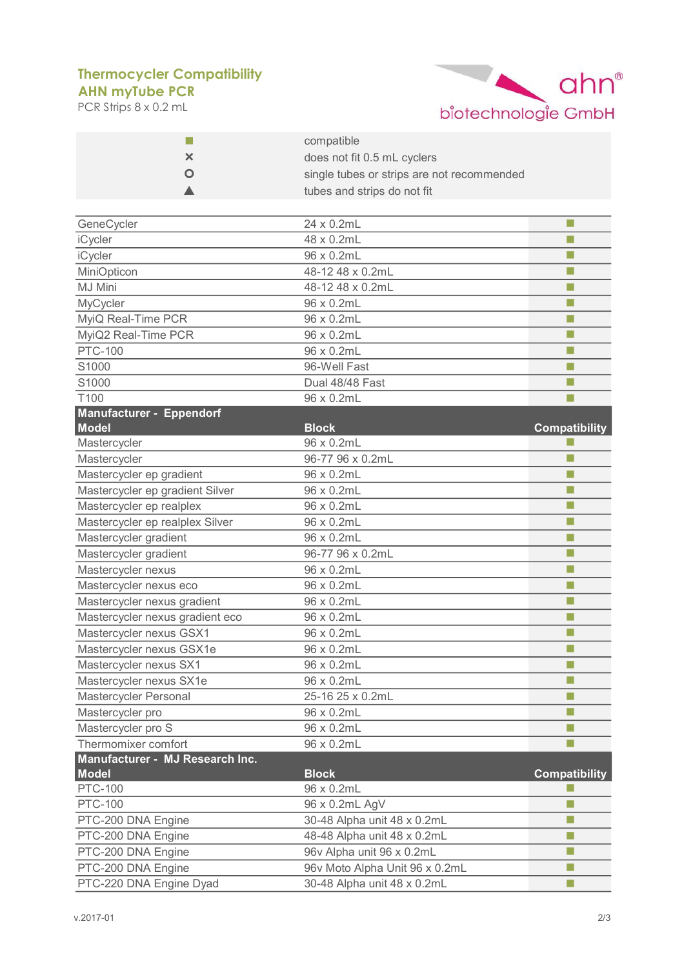## **AHN myTube PCR Thermocycler Compatibility**

PCR Strips 8 x 0.2 mL



| H                                               | compatible<br>does not fit 0.5 mL cyclers<br>single tubes or strips are not recommended |                      |  |
|-------------------------------------------------|-----------------------------------------------------------------------------------------|----------------------|--|
| x                                               |                                                                                         |                      |  |
|                                                 |                                                                                         |                      |  |
|                                                 | tubes and strips do not fit                                                             |                      |  |
|                                                 |                                                                                         |                      |  |
| GeneCycler                                      | 24 x 0.2mL                                                                              | п                    |  |
| iCycler                                         | 48 x 0.2mL                                                                              | п                    |  |
| iCycler                                         | 96 x 0.2mL                                                                              | п                    |  |
| MiniOpticon                                     | 48-12 48 x 0.2mL                                                                        | П                    |  |
| MJ Mini                                         | 48-12 48 x 0.2mL                                                                        | П                    |  |
| MyCycler                                        | 96 x 0.2mL                                                                              | п                    |  |
| MyiQ Real-Time PCR                              | 96 x 0.2mL                                                                              | п                    |  |
| MyiQ2 Real-Time PCR                             | 96 x 0.2mL                                                                              | F.                   |  |
| <b>PTC-100</b>                                  | 96 x 0.2mL                                                                              | П                    |  |
| S1000                                           | 96-Well Fast                                                                            | П                    |  |
| S1000                                           | Dual 48/48 Fast                                                                         | П                    |  |
| T100                                            | 96 x 0.2mL                                                                              | F.                   |  |
| <b>Manufacturer - Eppendorf</b><br><b>Model</b> | <b>Block</b>                                                                            | <b>Compatibility</b> |  |
| Mastercycler                                    | 96 x 0.2mL                                                                              | H                    |  |
| Mastercycler                                    | 96-77 96 x 0.2mL                                                                        | П                    |  |
| Mastercycler ep gradient                        | 96 x 0.2mL                                                                              | п                    |  |
| Mastercycler ep gradient Silver                 | 96 x 0.2mL                                                                              | п                    |  |
| Mastercycler ep realplex                        | 96 x 0.2mL                                                                              | п                    |  |
| Mastercycler ep realplex Silver                 | 96 x 0.2mL                                                                              | п                    |  |
| Mastercycler gradient                           | 96 x 0.2mL                                                                              | п                    |  |
| Mastercycler gradient                           | 96-77 96 x 0.2mL                                                                        | п                    |  |
| Mastercycler nexus                              | 96 x 0.2mL                                                                              | п                    |  |
| Mastercycler nexus eco                          | 96 x 0.2mL                                                                              | П                    |  |
| Mastercycler nexus gradient                     | 96 x 0.2mL                                                                              | п                    |  |
| Mastercycler nexus gradient eco                 | 96 x 0.2mL                                                                              | П                    |  |
| Mastercycler nexus GSX1                         | 96 x 0.2mL                                                                              | F.                   |  |
| Mastercycler nexus GSX1e                        | 96 x 0.2mL                                                                              | п                    |  |
| Mastercycler nexus SX1                          | 96 x 0.2mL                                                                              | F.                   |  |
| Mastercycler nexus SX1e                         | 96 x 0.2mL                                                                              | F.                   |  |
| Mastercycler Personal                           | 25-16 25 x 0.2mL                                                                        | п                    |  |
| Mastercycler pro                                | 96 x 0.2mL                                                                              | П                    |  |
| Mastercycler pro S                              | 96 x 0.2mL                                                                              | П                    |  |
| Thermomixer comfort                             | 96 x 0.2mL                                                                              | П                    |  |
| Manufacturer - MJ Research Inc.                 |                                                                                         |                      |  |
| <b>Model</b>                                    | <b>Block</b>                                                                            | <b>Compatibility</b> |  |
| <b>PTC-100</b>                                  | 96 x 0.2mL                                                                              | F.                   |  |
| <b>PTC-100</b>                                  | 96 x 0.2mL AgV                                                                          | П                    |  |
| PTC-200 DNA Engine                              | 30-48 Alpha unit 48 x 0.2mL                                                             | п                    |  |
| PTC-200 DNA Engine                              | 48-48 Alpha unit 48 x 0.2mL                                                             | п                    |  |
| PTC-200 DNA Engine                              | 96v Alpha unit 96 x 0.2mL                                                               | $\Box$               |  |
| PTC-200 DNA Engine                              | 96v Moto Alpha Unit 96 x 0.2mL                                                          | $\Box$               |  |
| PTC-220 DNA Engine Dyad                         | 30-48 Alpha unit 48 x 0.2mL                                                             | п                    |  |